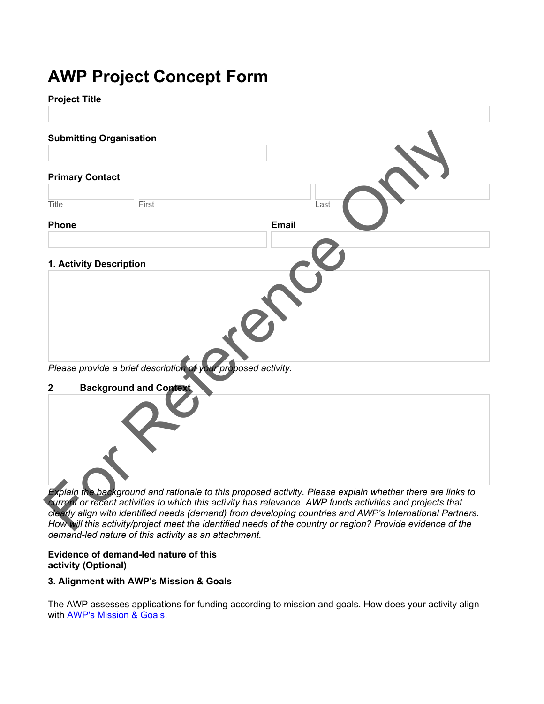# **AWP Project Concept Form**

## **Project Title**

| <b>Submitting Organisation</b> |                               |                                                               |      |  |
|--------------------------------|-------------------------------|---------------------------------------------------------------|------|--|
| <b>Primary Contact</b>         |                               |                                                               |      |  |
| Title                          | First                         |                                                               | Last |  |
| <b>Phone</b>                   |                               | <b>Email</b>                                                  |      |  |
|                                |                               |                                                               |      |  |
| 1. Activity Description        |                               |                                                               |      |  |
|                                |                               |                                                               |      |  |
|                                |                               | Please provide a brief description of your proposed activity. |      |  |
| $\mathbf 2$                    | <b>Background and Context</b> |                                                               |      |  |
|                                |                               |                                                               |      |  |

*current or recent activities to which this activity has relevance. AWP funds activities and projects that clearly align with identified needs (demand) from developing countries and AWP's International Partners. How will this activity/project meet the identified needs of the country or region? Provide evidence of the demand-led nature of this activity as an attachment.*

## **Evidence of demand-led nature of this activity (Optional)**

# **3. Alignment with AWP's Mission & Goals**

The AWP assesses applications for funding according to mission and goals. How does your activity align with **AWP's Mission & Goals**.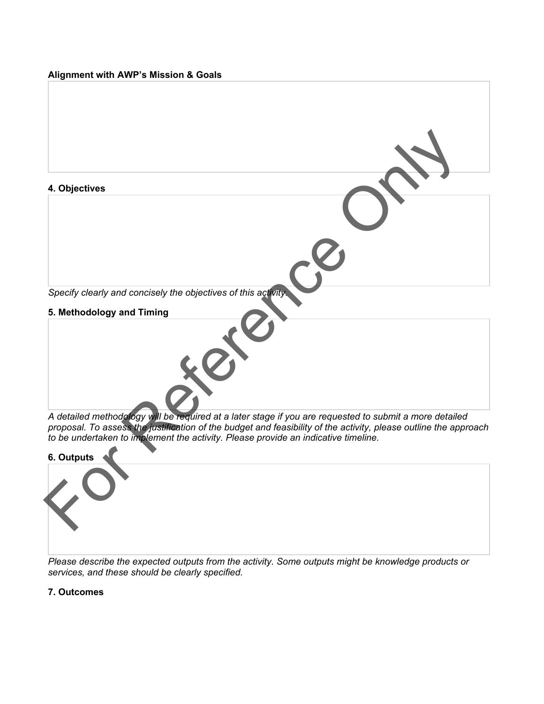## **Alignment with AWP's Mission & Goals**



*A detailed methodology will be required at a later stage if you are requested to submit a more detailed proposal. To assess the justification of the budget and feasibility of the activity, please outline the approach to be undertaken to implement the activity. Please provide an indicative timeline.*



*Please describe the expected outputs from the activity. Some outputs might be knowledge products or services, and these should be clearly specified.*

# **7. Outcomes**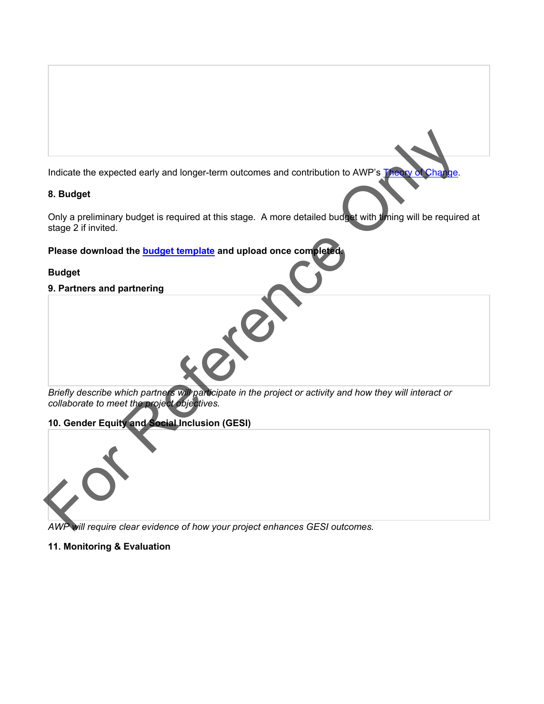Indicate the expected early and longer-term outcomes and contribution to AWP's Theory

# **8. Budget**

Only a preliminary budget is required at this stage. A more detailed budget with timing will be required at stage 2 if invited. Indicate the expected early and longer-term outcomes and contribution to AWP's Transference as a sudget<br>
Sustantial China proliminary budget is required at this stage. A more detailed budget with theirs will be required<br>
s

**Please download the budget template and upload once completed.**

# **Budget**

**9. Partners and partnering**

*Briefly describe which partners will participate in the project or activity and how they will interact or collaborate to meet the project objectives.*

**10. Gender Equity and Social Inclusion (GESI)**



*AWP will require clear evidence of how your project enhances GESI outcomes.*

# **11. Monitoring & Evaluation**